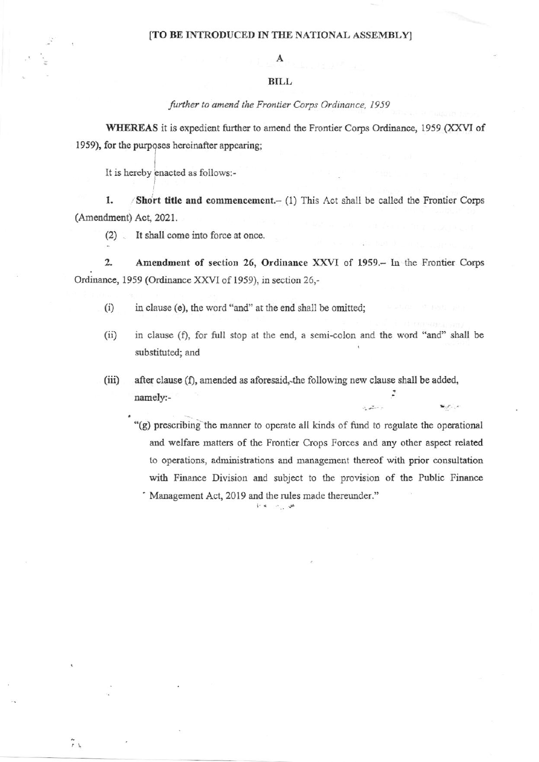## [TO BE INTRODUCED IN THE NATIONAL ASSEMBLY]

## **BILL**

further to amend the Frontier Corps Ordinance, 1959

WHEREAS it is expedient further to amend the Frontier Corps Ordinance, 1959 (XXVI of 1959), for the purposes hereinafter appearing;

It is hereby enacted as follows:-

1. Short title and commencement. $-$  (1) This Act shall be called the Frontier Corps (Amendment) Act, 2021.

It shall come into force at once.  $(2)$ 

 $\overline{2}$ . Amendment of section 26, Ordinance XXVI of 1959. - In the Frontier Corps Ordinance, 1959 (Ordinance XXVI of 1959), in section 26,-

- $(i)$ in clause (e), the word "and" at the end shall be omitted;
- in clause (f), for full stop at the end, a semi-colon and the word "and" shall be  $(ii)$ substituted; and
- $(iii)$ after clause (f), amended as aforesaid, the following new clause shall be added, namely:-

"(g) prescribing the manner to operate all kinds of fund to regulate the operational and welfare matters of the Frontier Crops Forces and any other aspect related to operations, administrations and management thereof with prior consultation with Finance Division and subject to the provision of the Public Finance Management Act, 2019 and the rules made thereunder."

 $\mathcal{L}(\mathbf{z}^{\mathcal{I}})$ 

 $\mathbf{w}, \mathbf{y}$ 

Brist in Law

 $\tilde{r}$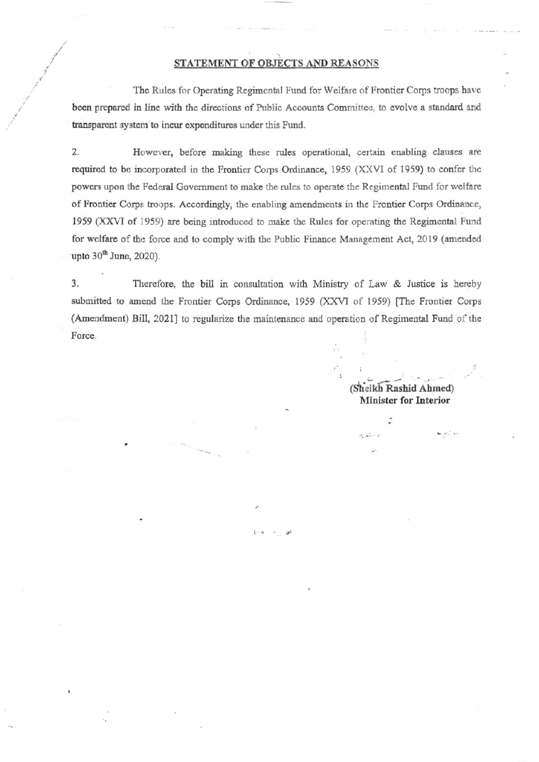## STATEMENT OF OBJECTS AND REASONS

The Rules for Operating Regimental Fund for Welfare of Frontier Corps troops have been prepared in line with the directions of Public Accounts Committee, to evolve a standard and transparent system to incur expenditures under this Fund.

 $2.$ However, before making these rules operational, certain enabling clauses are required to be incorporated in the Frontier Corps Ordinance, 1959 (XXVI of 1959) to confer the powers upon the Federal Government to make the rules to operate the Regimental Fund for welfare of Frontier Corps troops. Accordingly, the enabling amendments in the Frontier Corps Ordinance, 1959 (XXVI of 1959) are being introduced to make the Rules for operating the Regimental Fund for welfare of the force and to comply with the Public Finance Management Act, 2019 (amended upto  $30<sup>th</sup>$  June, 2020).

 $3.$ Therefore, the bill in consultation with Ministry of Law & Justice is hereby submitted to amend the Frontier Corps Ordinance, 1959 (XXVI of 1959) [The Frontier Corps (Amendment) Bill, 2021] to regularize the maintenance and operation of Regimental Fund of the Force.

> (Sheikh Rashid Ahmed) **Minister for Interior**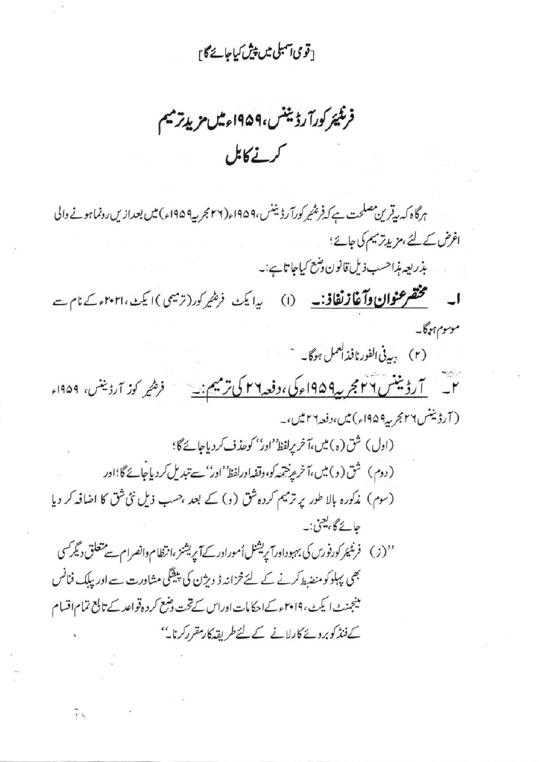[قومی آمبلی میں پیش کیاجائے گا]

فرنگیئر کورآ رڈینٹس،۱۹۵۹ء میں مزید ترمیم كرنے کابل

ہرگاہ کہ بیقرین مصلحت ہے کہ فرشیمر کورآ رڈیننس،1۹۵۹ء(۲۲ مجربیہ1۹۵۹ء) میں بعدازیں رونما ہونے والی اغرض کے لئے، مزیدتر میم کی جائے؛

بذريعه مذاحسب ذيل قانون وشع كياجا تاہے:۔

ا۔ مختصر عنوان وآغاز نغافی :۔ (۱) یدایک فریٹیر کور(ترمیمی) ایک ، ۲۰۲۱ء کے نام سے موسوم ہوگا۔

(۲) بهدفی الفورنافذالعمل ہوگا۔

۲\_\_\_ <u>آرڈیننس ۲۲جر په ۱۹۵۹ء کی، دفعه۲۲ کی ترمیم: -</u>\_\_\_\_ فر*هیر* کوز آرڈیننس، ۱۹۵۹ء ( آرڈیننس ۲۲مجر پہ ۱۹۵۹ء) میں، دفعہ ۲ میں،۔

(اول) شق (ه) ميں،آخر يرلفظ''اور'' كوحذف كردياجائے گا؛ (دوم) شق(و) میں،آخر مریتھہ کو،وقفہاورلفظ'اور'سے تبدیل کردیاجائے گا؛اور (سوم) مذکورہ بالا طور پر ترمیم کردہ شق (و) کے بعد ،حسب ذیل نئی شق کا اضافہ کر دیا حائے گا، یعنی:۔ ''(ز) فرنٹیئر کورفورس کی بہبوداورآ پریشنل اُموراور کے آپریشنز ،انظام دانصرام سے متعلق دیگر کسی بھی پہلوکو منضط کرنے کے لئے خزانیہ ڈ ویژن کی پیشگی مشاورت سے اور بیلک فنانس

مینجنٹ ایکٹ، ۲۰۱۹ءکےاحکامات اوراس کےتحت دہنع کر دہ قواعد کے تابع تمام اقسام کے فنڈ کوبرونے کارلانے کے لئے طریقہ کار مقرر کرنا۔''

îι